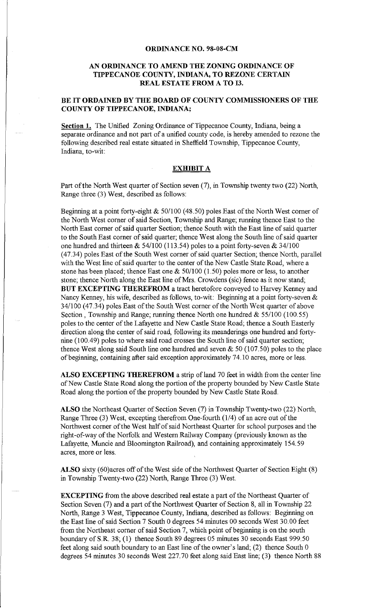## **ORDINANCE NO. 98-08-CM**

## **AN ORDINANCE TO AMEND THE ZONING ORDINANCE OF TIPPECANOE COUNTY, INDIANA, TO REZONE CERTAIN REAL ESTATE FROM A TO I3.**

## **BE IT ORDAINED BY THE BOARD OF COUNTY COMMISSIONERS OF THE COUNTY OF TIPPECANOE, INDIANA;**

**Section 1.** The Unified Zoning Ordinance of Tippecanoe County, Indiana, being a separate ordinance and not part of a unified county code, is hereby amended to rezone the following described real estate situated in Sheffield Township, Tippecanoe County, Indiana, to-wit:

## **EXHIBIT A**

Part of the North West quarter of Section seven (7), in Township twenty two (22) North, Range three (3) West, described as follows:

Beginning at a point forty-eight & 50/100 (48.50) poles East of the North West comer of the North West corner of said Section, Township and Range; running thence East to the North East corner of said quarter Section; thence South with the East line of said quarter to the South East corner of said quarter; thence West along the South line of said quarter one hundred and thirteen  $\&$  54/100 (113.54) poles to a point forty-seven  $\&$  34/100 (47.34) poles East of the South West corner of said quarter Section; thence North, parallel with the West line of said quarter to the center of the New Castle State Road, where a stone has been placed; thence East one  $\&$  50/100 (1.50) poles more or less, to another stone; thence North along the East line of Mrs. Crowdens (sic) fence as it now stand; **BUT EXCEPTING THEREFROM** a tract heretofore conveyed to Harvey Kenney and Nancy Kenney, his wife, described as follows, to-wit: Beginning at a point forty-seven & 34/100 (47.34) poles East of the South West corner of the North West quarter of above Section, Township and Range; running thence North one hundred & 55/100 (100.55) poles to the center of the Lafayette and New Castle State Road; thence a South Easterly direction along the center of said road, following its meanderings one hundred and fortynine (100.49) poles to where said road crosses the South line of said quarter section; thence West along said South line one hundred and seven  $\& 50$  (107.50) poles to the place of beginning, containing after said exception approximately 74.10 acres, more or less.

ALSO EXCEPTING THEREFROM a strip of land 70 feet in width from the center line of New Castle State Road along the portion of the property bounded by New Castle State Road along the portion of the property bounded by New Castle State Road.

**ALSO** the Northeast Quarter of Section Seven (7) in Township Twenty-two (22) North, Range Three (3) West, excepting therefrom One-fourth (114) of an acre out of the Northwest comer of the West half of said Northeast Quarter for school purposes and the right-of-way of the Norfolk and Western Railway Company (previously known as the Lafayette, Muncie and Bloomington Railroad), and containing approximately 154. 59 acres, more or less.

**ALSO** sixty (60)acres off of the West side of the Northwest Quarter of Section Eight (8) in Township Twenty-two (22) North, Range Three (3) West.

**EXCEPTING** from the above described real estate a part of the Northeast Quarter of Section Seven (7) and a part of the Northwest Quarter of Section 8, all in Township 22 North, Range 3 West, Tippecanoe County, Indiana, described as follows: Beginning on the East line of said Section 7 South 0 degrees 54 minutes 00 seconds West 30.00 feet from the Northeast corner of said Section 7, which point of beginning is on the south boundary of S.R. 38; (1) thence South 89 degrees 05 minutes 30 seconds East 999.50 feet along said south boundary to an East line of the owner's land; (2) thence South 0 degrees 54 minutes 30 seconds West 227. 70 feet along said East line; (3) thence North 88